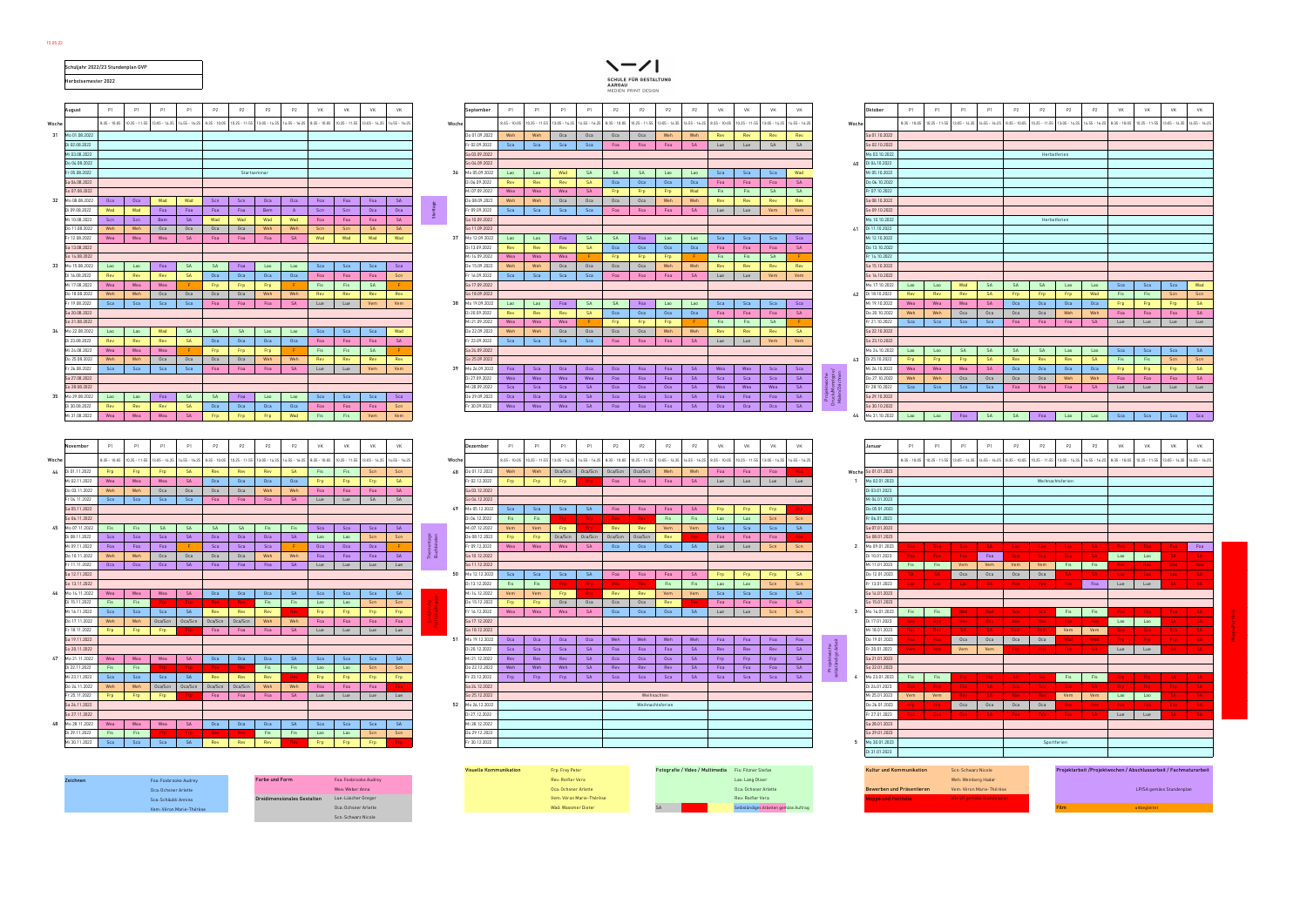Schäublin Annings (Schäublin Annings des Einheiter Gregor Vem: Véron Marie-Thérèse Rev: Reifler Vera Rev: Reifler Vera Rev: Reifler Vera Mappe und Portfolio alle LP gemäss Auftrage und Portfolio alle LP gemäss Stundenplann Vem: Véron Marie-Thérèse Oca: Ochsner Arlette Wad: Wassmer Dieter SA Selbständiges Arbeiten gemäss Auftrag Film unbegleitet Scn: Schwarz Nicole

## Visuelle Kommunikation Frp: Frey Peter Fotografie / Video / Multimedia Fis: Fitzner Stefan Kultur und Kommunik<br>Rev: Reifler Vera Abschlussarbeit / Abschlussarbeit / Abschlussarbeit / Abschlussarbeit / Abschlussarbeit / La

|       |                                   |            | Schuljahr 2022/23 Stundenplan GVP |            |                                 |                 |              |                                                                                                                                                                                            |            |              |                                   |       |                                   |                                                                                                                                                                                    |             |                                      |                                        |                              |                  |                |             |                                           |                  |                |                                        |            |                             |             |                        |                                       |                                                                                                                                                                                            |                  |                              |              |             |                        |
|-------|-----------------------------------|------------|-----------------------------------|------------|---------------------------------|-----------------|--------------|--------------------------------------------------------------------------------------------------------------------------------------------------------------------------------------------|------------|--------------|-----------------------------------|-------|-----------------------------------|------------------------------------------------------------------------------------------------------------------------------------------------------------------------------------|-------------|--------------------------------------|----------------------------------------|------------------------------|------------------|----------------|-------------|-------------------------------------------|------------------|----------------|----------------------------------------|------------|-----------------------------|-------------|------------------------|---------------------------------------|--------------------------------------------------------------------------------------------------------------------------------------------------------------------------------------------|------------------|------------------------------|--------------|-------------|------------------------|
|       | Herbstsemester 2022               |            |                                   |            |                                 |                 |              |                                                                                                                                                                                            |            |              |                                   |       |                                   |                                                                                                                                                                                    |             |                                      | SCHULE FÜR GESTALTUNG<br><b>AARGAU</b> |                              |                  |                |             |                                           |                  |                |                                        |            |                             |             |                        |                                       |                                                                                                                                                                                            |                  |                              |              |             |                        |
|       |                                   |            |                                   |            |                                 |                 |              |                                                                                                                                                                                            |            |              |                                   |       |                                   |                                                                                                                                                                                    |             |                                      | MEDIEN PRINT DESIGN                    |                              |                  |                |             |                                           |                  |                |                                        |            |                             |             |                        |                                       |                                                                                                                                                                                            |                  |                              |              |             |                        |
|       |                                   |            |                                   |            |                                 |                 |              |                                                                                                                                                                                            |            |              |                                   |       |                                   |                                                                                                                                                                                    |             |                                      |                                        |                              |                  |                |             |                                           |                  |                |                                        |            |                             |             |                        |                                       |                                                                                                                                                                                            |                  |                              |              |             |                        |
|       | August                            | P1         | P1                                | <b>P1</b>  | P1                              | P <sub>2</sub>  | P2           | P <sub>2</sub><br>P2                                                                                                                                                                       | <b>VK</b>  | <b>VK</b>    | VK<br><b>VK</b>                   |       | September                         | <b>P1</b>                                                                                                                                                                          | <b>P1</b>   | P1<br>P1                             | P2<br>P2                               | P <sub>2</sub>               | P2               | <b>VK</b>      | <b>VK</b>   | <b>VK</b>                                 | <b>VK</b>        |                | Oktober                                | P1         | P1                          | P1          | P1                     | P2                                    | P2<br>P2                                                                                                                                                                                   | P2               | <b>VK</b>                    | VK           | <b>VK</b>   | <b>VK</b>              |
| Woche |                                   |            |                                   |            |                                 |                 |              | 8:35 - 10:05   10:25 - 11:55   13:05 - 14:35   14:55 - 16:25   8:35 - 10:05   10:25 - 11:55   13:05 - 14:35   14:55 - 16:25   8:35 - 10:05   10:25 - 11:55   13:05 - 14:35   14:55 - 16:27 |            |              |                                   | Woche |                                   | $8:35 - 10:05$ 10.25 - 11:55 13:05 - 14.35 14:55 - 16:25                                                                                                                           |             |                                      | $8:35 - 10:05$                         | $0.25 - 11:55$ 13:05 - 14.35 | $14:55 - 16:25$  | $8:35 - 10:05$ |             | 10.25 - 11:55 13:05 - 14.35 14:55 - 16:25 |                  | Woche          |                                        |            |                             |             |                        |                                       | 8:35 - 10:05   10.25 - 11:55   13:05 - 14:35   14:55 - 14:25   8:35 - 10:05   10:25 - 11:55   13:05 - 14:35   14:55 - 16:25   8:35 - 10:05   10:25 - 11:55   13:05 - 14:35   14:55 - 16:25 |                  |                              |              |             |                        |
|       | 31 Mo 01.08.2022                  |            |                                   |            |                                 |                 |              |                                                                                                                                                                                            |            |              |                                   |       | Do 01.09.2022                     | Weh                                                                                                                                                                                | Weh         | Oca<br>Oca                           | Oca                                    | Oca<br>Weh                   | Weh              | Rev            | Rev         | Rev                                       | Rev              |                | Sa 01.10.2022                          |            |                             |             |                        |                                       |                                                                                                                                                                                            |                  |                              |              |             |                        |
|       | Di 02.08.2022<br>Mi 03.08.2022    |            |                                   |            |                                 |                 |              |                                                                                                                                                                                            |            |              |                                   |       | Fr 02.09.2022<br>Sa 03.09.2022    | Sca                                                                                                                                                                                | Sca         | Sca<br>Sca                           | Foa<br>Foa                             | Foa                          | <b>SA</b>        | Lue            | Lue         | SA                                        | SA               |                | So 02.10.2022<br>Mo 03.10.2022         |            |                             |             |                        |                                       | Herbstferien                                                                                                                                                                               |                  |                              |              |             |                        |
|       | Do 04.08.2022                     |            |                                   |            |                                 |                 |              |                                                                                                                                                                                            |            |              |                                   |       | So 04.09.2022                     |                                                                                                                                                                                    |             |                                      |                                        |                              |                  |                |             |                                           |                  |                | 40 Di 04.10.2022                       |            |                             |             |                        |                                       |                                                                                                                                                                                            |                  |                              |              |             |                        |
|       | Fr 05.08.2022                     |            |                                   |            |                                 |                 | Startseminar |                                                                                                                                                                                            |            |              |                                   | -36   | Mo 05.09.2022                     | Lao                                                                                                                                                                                | Lao         | Wad<br><b>SA</b>                     | <b>SA</b>                              | <b>SA</b><br>Lao             | Lao              | Sca            | Sca         | Sca                                       | Wad              |                | Mi 05.10.2022                          |            |                             |             |                        |                                       |                                                                                                                                                                                            |                  |                              |              |             |                        |
|       | Sa 06.08.2022                     |            |                                   |            |                                 |                 |              |                                                                                                                                                                                            |            |              |                                   |       | Di 06.09.2022                     | Rev                                                                                                                                                                                | Rev         | <b>SA</b><br>Rev                     | Oca                                    | Oca<br>Oca                   | Oca              | Foa            | Foa         | Foa                                       | <b>SA</b>        |                | Do 06.10.2022                          |            |                             |             |                        |                                       |                                                                                                                                                                                            |                  |                              |              |             |                        |
|       | So 07.08.2022<br>32 Mo 08.08.2022 | Oca        | Oca                               | Wad        | Wad                             | Scn             | Scn          | Oca<br>Oca                                                                                                                                                                                 | Foa        | Foa          | Foa<br>- SA                       |       | Mi 07.09.2022<br>Do 08.09.2022    | Wea<br>Weh                                                                                                                                                                         | Wea<br>Weh  | Wea<br><b>SA</b><br>Oca<br>Oca       | Fro<br>Oca                             | Frp<br>Frp.<br>Oca<br>Weh    | Wad<br>Weh       | Fis<br>Rev     | Fis<br>Rev  | <b>SA</b><br>Rev                          | <b>SA</b><br>Rev |                | Fr 07.10.2022<br>Sa 08.10.2022         |            |                             |             |                        |                                       |                                                                                                                                                                                            |                  |                              |              |             |                        |
|       | Di 09.08.2022                     | Wad        | Wad                               | Foa        | Foa                             | Foa             | Foa          | Bem<br>A                                                                                                                                                                                   | Scn        | Scn          | Oca<br>Oca                        |       | Fr 09.09.2022                     | Sca                                                                                                                                                                                | Sca         | Sca<br>Sca                           | Foa                                    | Foa<br>Foa                   | <b>SA</b>        | Lue            | Lue         | Vem                                       | Vem              |                | So 09.10.2022                          |            |                             |             |                        |                                       |                                                                                                                                                                                            |                  |                              |              |             |                        |
|       | Mi 10.08.2022                     | Scn        | Scn                               | Bem        | <b>SA</b>                       | Wad             | Wad          | Wad<br>Wad                                                                                                                                                                                 | Foa        | Foa          | <b>SA</b><br>Foa                  |       | Sa 10.09.2022                     |                                                                                                                                                                                    |             |                                      |                                        |                              |                  |                |             |                                           |                  |                | Mo 10.10.2022                          |            |                             |             |                        |                                       | Herbstferien                                                                                                                                                                               |                  |                              |              |             |                        |
|       | Do 11.08.2022                     | Weh        | Weh                               | Oca        | Oca                             | Oca             | Oca          | Weh<br>Weh                                                                                                                                                                                 | Scn        | Scn          | <b>SA</b><br><b>SA</b>            |       | So 11.09.2022                     |                                                                                                                                                                                    |             |                                      |                                        |                              |                  |                |             |                                           |                  |                | 41 Di 11.10.2022                       |            |                             |             |                        |                                       |                                                                                                                                                                                            |                  |                              |              |             |                        |
|       | Fr 12.08.2022                     | Wea        | Wea                               | Wea        | - SA                            | Foa             | Foa          | Foa<br><b>SA</b>                                                                                                                                                                           | Wad        | Wad          | Wad<br>Wad                        | 37    | Mo 12.09.2022                     | Lao                                                                                                                                                                                | Lao         | Foa<br><b>SA</b>                     | <b>SA</b>                              | Foa<br>Lao                   | Lao              | Sca            | Sca         | Sca                                       | Sca              |                | Mi 12.10.2022                          |            |                             |             |                        |                                       |                                                                                                                                                                                            |                  |                              |              |             |                        |
|       | Sa 13.08.2022<br>So 14.08.2022    |            |                                   |            |                                 |                 |              |                                                                                                                                                                                            |            |              |                                   |       | Di 13.09.2022<br>Mi 14.09.2022    | Rev<br>Wea                                                                                                                                                                         | Rev<br>Wea  | Rev<br><b>SA</b><br>Wea              | Oca<br>Frp                             | Oca<br>Oca<br>Frp<br>Frp.    | Oca              | Foa<br>Fis     | Foa<br>Fis  | Foa<br><b>SA</b>                          | <b>SA</b>        |                | Do 13.10.2022<br>Fr 14.10.2022         |            |                             |             |                        |                                       |                                                                                                                                                                                            |                  |                              |              |             |                        |
|       | 33 Mo 15.08.2022                  | Lao        | Lao                               | Foa        | <b>SA</b>                       | <b>SA</b>       | Foa          | Lao<br>Lao                                                                                                                                                                                 | Sca        | Sca          | Sca<br>Sca                        |       | Do 15.09.2022                     | Weh                                                                                                                                                                                | Weh         | Oca<br>Oca                           | Oca                                    | Oca<br>Weh                   | Weh              | Rev            | Rev         | Rev                                       | Rev              |                | Sa 15.10.2022                          |            |                             |             |                        |                                       |                                                                                                                                                                                            |                  |                              |              |             |                        |
|       | Di 16.08.2022                     | Rev        | Rev                               | Rev        | <b>SA</b>                       | Oca             | Oca          | Oca<br>Oca                                                                                                                                                                                 | Foa        | Foa          | Foa<br>Scn                        |       | Fr 16.09.2022                     | Sca                                                                                                                                                                                | <b>Sca</b>  | Sca<br>Sca                           | Foa                                    | Foa<br>Foa                   | <b>SA</b>        | Lue            | Lue         | Vem                                       | Vem              |                | So 16.10.2022                          |            |                             |             |                        |                                       |                                                                                                                                                                                            |                  |                              |              |             |                        |
|       | Mi 17.08.2022                     | Wea        | Wea                               | Wea        |                                 | Frp.            | Frp          | Frp                                                                                                                                                                                        | Fis        | Fis          | <b>SA</b>                         |       | Sa 17.09.2022                     |                                                                                                                                                                                    |             |                                      |                                        |                              |                  |                |             |                                           |                  |                | Mo 17.10.2022                          | Lao        | Lao                         | Wad         | SA                     | <b>SA</b>                             | <b>SA</b><br>Lao                                                                                                                                                                           | Lao              | Sca 1                        | Sca          | Sca         | Wad                    |
|       | Do 18.08.2022                     | Weh        | Weh                               | Oca        | Oca                             | Oca             | Oca          | Weh<br>Weh                                                                                                                                                                                 | Rev        | Rev          | Rev<br>Rev                        |       | So 18.09.2022                     |                                                                                                                                                                                    |             |                                      |                                        |                              |                  |                |             |                                           |                  | 42             | Di 18.10.2022                          | Rev        | Rev                         | Rev         | SA                     | Frp                                   | Frp<br>Frp                                                                                                                                                                                 | Wad              | Fis                          | Fis          | Scn         | Scn                    |
|       | Fr 19.08.2022<br>Sa 20.08.2022    | Sca        | Sca                               | Sca        | Sca                             | Foa             | Foa          | Foa<br><b>SA</b>                                                                                                                                                                           | Lue        | Lue          | Vem<br>Vem                        | 38    | Mo 19.09.2022<br>Di 20.09.2022    | Lao<br>Rev                                                                                                                                                                         | Lao<br>Rev  | Foa<br><b>SA</b><br><b>SA</b><br>Rev | <b>SA</b><br>Foa<br>Oca                | Lao<br>Oca<br>Oca            | Lao<br>Oca       | Sca<br>Foa     | Sca<br>Foa  | Sca<br>Foa                                | Sca<br><b>SA</b> |                | Mi 19.10.2022<br>Do 20.10.2022         | Wea<br>Weh | Wea<br>Weh                  | Wea<br>Oca  | <b>SA</b><br>Oca       | Oca<br>Oca                            | Oca<br>Oca<br>Oca<br>Weh                                                                                                                                                                   | Oca<br>Weh       | Frp<br>Foa                   | Frp<br>Foa   | Frp.<br>Foa | <b>SA</b><br><b>SA</b> |
|       | So 21.08.2022                     |            |                                   |            |                                 |                 |              |                                                                                                                                                                                            |            |              |                                   |       | Mi 21.09.2022                     | Wea                                                                                                                                                                                | Wea         | Wea                                  | Frp<br>Frp                             | Frp.                         |                  | Fis            | Fis         | <b>SA</b>                                 | -F.              |                | Fr 21.10.2022                          | Sca 1      | Sca                         | Sca         | Sca                    | Foa                                   | Foa<br>Foa                                                                                                                                                                                 | <b>SA</b>        | Lue                          | Lue          | Lue         | Lue                    |
|       | 34 Mo 22.08.2022                  | Lao        | Lao                               | Wad        | SA                              | SA              | SA           | Lao<br>Lao                                                                                                                                                                                 | Sca        | Sca          | Sca<br>Wad                        |       | Do 22.09.2022                     | Weh                                                                                                                                                                                | Weh         | Oca<br>Oca                           | Oca                                    | Oca<br>Weh                   | Weh              | Rev            | Rev         | Rev                                       | <b>SA</b>        |                | Sa 22.10.2022                          |            |                             |             |                        |                                       |                                                                                                                                                                                            |                  |                              |              |             |                        |
|       | Di 23.08.2022                     | Rev        | Rev                               | Rev        | <b>SA</b>                       | Oca             | Oca          | Oca<br>Oca                                                                                                                                                                                 | Foa        | Foa          | Foa<br>- SA                       |       | Fr 23.09.2022                     | Sca                                                                                                                                                                                | Sca         | Sca<br>Sca                           | Foa<br>Foa                             | Foa                          | <b>SA</b>        | Lue            | Lue         | Vem                                       | Vem              |                | So 23.10.2022                          |            |                             |             |                        |                                       |                                                                                                                                                                                            |                  |                              |              |             |                        |
|       | Mi 24.08.2022                     | Wea        | Wea                               | Wea        |                                 | Frp             | Frp          | Frp                                                                                                                                                                                        | Fis        | Fis          | <b>SA</b>                         |       | Sa 24.09.2022                     |                                                                                                                                                                                    |             |                                      |                                        |                              |                  |                |             |                                           |                  |                | Mo 24.10.2022                          | Lao        | Lao                         | <b>SA</b>   | <b>SA</b>              | <b>SA</b>                             | <b>SA</b><br>Lao                                                                                                                                                                           | Lao              | Sca                          | Sca          | Sca         | <b>SA</b>              |
|       | Do 25.08.2022<br>Fr 26.08.2022    | Weh<br>Sca | Weh<br>Sca                        | Oca<br>Sca | Oca<br>Sca                      | Oca<br>Foa      | Oca<br>Foa   | Weh<br>Weh<br>Foa<br><b>SA</b>                                                                                                                                                             | Rev<br>Lue | Rev<br>Lue   | Rev<br>Rev<br>Vem<br>Vem          | 39    | So 25.09.2022<br>Mo 26.09.2022    | Foa                                                                                                                                                                                | Sca         | Oca<br>Oca                           | Oca<br>Foa                             | Foa                          | <b>SA</b>        | Wea            | Wea         | Sca                                       | Sca              | 43             | Di 25.10.2022<br>Mi 26.10.2022         | Frp<br>Wea | Frp<br>Wea                  | Frp<br>Wea  | <b>SA</b><br><b>SA</b> | Rev<br>Oca                            | Rev<br>Rev<br>Oca<br>Oca                                                                                                                                                                   | <b>SA</b><br>Oca | Fis<br>Frp                   | Fis<br>Frp   | Scn<br>Frp  | Scn<br><b>SA</b>       |
|       | Sa 27.08.2022                     |            |                                   |            |                                 |                 |              |                                                                                                                                                                                            |            |              |                                   |       | Di 27.09.2022                     | Wea                                                                                                                                                                                | Wea         | Wea<br>Wea                           | Foa                                    | Foa<br>Foa                   | - SA             | Sca            | Sca         | Sca                                       | <b>SA</b>        |                | Do 27.10.2022                          | Weh        | Weh                         | Oca         | Oca                    | Oca                                   | Oca<br>Weh                                                                                                                                                                                 | Weh              | Foa                          | Foa          | Foa         | <b>SA</b>              |
|       | 5o 28.08.2022                     |            |                                   |            |                                 |                 |              |                                                                                                                                                                                            |            |              |                                   |       | Mi 28.09.2022                     | Sca                                                                                                                                                                                | Sca         | <b>SA</b><br>Sca                     | Oca                                    | Oca<br>Oca                   | - SA             | Wea            | Wea         | Wea                                       | SA               |                | Fr 28.10.2022                          | Sca        | Sca                         | Sca         | Sca                    | Foa                                   | Foa<br>Foa                                                                                                                                                                                 | <b>SA</b>        | Lue                          | Lue          | Lue         | Lue                    |
|       | 35 Mo 29.08.2022                  | Lao        | Lao                               | Foa        | <b>SA</b>                       | <b>SA</b>       | Foa          | Lao<br>Lao                                                                                                                                                                                 | Sca        | Sca          | Sca<br>Sca                        |       | Do 29.09.2022                     | Oca                                                                                                                                                                                | Oca         | Oca<br><b>SA</b>                     | Sca                                    | Sca<br>Sca                   | <b>SA</b>        | Foa            | Foa         | Foa                                       | <b>SA</b>        |                | Sa 29.10.2022                          |            |                             |             |                        |                                       |                                                                                                                                                                                            |                  |                              |              |             |                        |
|       | Di 30.08.2022                     | Rev        | Rev                               | Rev        | <b>SA</b>                       | Oca             | Oca          | Oca<br>Oca                                                                                                                                                                                 | Foa        | Foa          | Foa<br>Scn                        |       | Fr 30.09.2022                     | Wea                                                                                                                                                                                | Wea         | <b>SA</b><br>Wea                     | Foa<br>Foa                             | Foa                          | <b>SA</b>        | Oca            | Oca         | Oca                                       | <b>SA</b>        |                | So 30.10.2022                          |            |                             |             |                        |                                       |                                                                                                                                                                                            |                  |                              |              |             |                        |
|       | Mi 31.08.2022                     | Wea        | Wea                               | Wea        | <b>SA</b>                       | Frp             | Frp          | Frp<br>Wad                                                                                                                                                                                 | Fis        | Fis          | Vem<br>Vem                        |       |                                   |                                                                                                                                                                                    |             |                                      |                                        |                              |                  |                |             |                                           |                  |                | 44 Mo 31.10.2022                       | Lao        | Lao                         | Foa         | <b>SA</b>              | <b>SA</b>                             | Foa<br>Lao                                                                                                                                                                                 | Lao              | Sca                          | Sca          | Sca         | Sca                    |
|       |                                   |            |                                   |            |                                 |                 |              |                                                                                                                                                                                            |            |              |                                   |       |                                   |                                                                                                                                                                                    |             |                                      |                                        |                              |                  |                |             |                                           |                  |                |                                        |            |                             |             |                        |                                       |                                                                                                                                                                                            |                  |                              |              |             |                        |
|       | lovember                          | P1         | P1                                | <b>P1</b>  | <b>P1</b>                       | P2              | P2           | P <sub>2</sub><br>P2                                                                                                                                                                       | <b>VK</b>  | <b>VK</b>    | VK<br><b>VK</b>                   |       | Dezember                          | <b>P1</b>                                                                                                                                                                          | P1          | P1<br>P1                             | P2<br><b>P2</b>                        | P <sub>2</sub>               | P2               | <b>VK</b>      | <b>VK</b>   | VK                                        | <b>VK</b>        |                | Januar                                 | P1         | <b>P1</b>                   | P1          | P1                     | P2                                    | P2<br>P2                                                                                                                                                                                   | P2               | <b>VK</b>                    | VK           | <b>VK</b>   | <b>VK</b>              |
| Woche |                                   |            |                                   |            |                                 |                 |              | 8:35 - 10:05   10:25 - 11:55   13:05 - 14:35   14:55 - 16:25   8:35 - 10:05   10:25 - 11:55   13:05 - 14:35   14:55 - 16:25   8:35 - 10:05   10:25 - 11:55   13:05 - 14:35   14:55 - 16:25 |            |              |                                   | Woche |                                   | 8:35 - 10:05   10:25 - 11:55   13:05 - 14:35   14:55 - 16:25   8:35 - 10:05   10:25 - 11:55   13:05 - 14:35   14:55 - 16:25   8:35 - 10:05   13:05 - 11:55   13:05 - 14:55 - 16:25 |             |                                      |                                        |                              |                  |                |             |                                           |                  |                |                                        |            |                             |             |                        |                                       | 8:35 - 10:05 10:25 - 11:55 13:05 - 14:35 14:55 - 16:25 8:35 - 10:05 10:25 - 11:55 13:05 - 14:35 14:55 - 16:25 8:35 - 10:05 10:25 - 11:55 13:05 - 14:35 14:55 - 16:25                       |                  |                              |              |             |                        |
|       |                                   |            |                                   |            |                                 |                 |              |                                                                                                                                                                                            |            |              |                                   |       |                                   |                                                                                                                                                                                    |             |                                      |                                        |                              |                  |                |             |                                           |                  |                |                                        |            |                             |             |                        |                                       |                                                                                                                                                                                            |                  |                              |              |             |                        |
|       | 44 Di 01.11.2022<br>Mi 02.11.2022 | Frp<br>Wea | Frp.<br>Wea                       | Frp<br>Wea | <b>SA</b><br><b>SA</b>          | Rev<br>Oca      | Rev<br>Oca   | Rev<br><b>SA</b><br>Oca<br>Oca                                                                                                                                                             | Fis<br>Frp | Fis<br>Frp   | Scn<br>- Scn<br>Frp.<br><b>SA</b> |       | 48 Do 01.12.2022<br>Fr 02.12.2022 | Weh<br>Frp                                                                                                                                                                         | Weh<br>Frp. | Oca/Scn Oca/Scn<br>Frp.              | Oca/Scn<br>Foa<br>Foa                  | Oca/Scn<br>Weh<br>Foa        | Weh<br><b>SA</b> | Foa<br>Lue     | Foa<br>Lue  | Foa<br>Lue                                | Foa:<br>Lue      |                | Woche So 01.01.2023<br>1 Mo 02.01.2023 |            |                             |             |                        |                                       | Weihnachtsferien                                                                                                                                                                           |                  |                              |              |             |                        |
|       | Do 03.11.2022                     | Weh        | Weh                               | Oca        | Oca                             | Oca             | Oca          | Weh<br>Weh                                                                                                                                                                                 | Foa        | Foa          | Foa<br>- SA                       |       | Sa 03.12.2022                     |                                                                                                                                                                                    |             |                                      |                                        |                              |                  |                |             |                                           |                  |                | Di 03.01.2023                          |            |                             |             |                        |                                       |                                                                                                                                                                                            |                  |                              |              |             |                        |
|       | Fr 04.11.2022                     | Sca        | Sca                               | Sca        | Sca                             | Foa             | Foa          | Foa<br><b>SA</b>                                                                                                                                                                           | Lue        | Lue          | SA<br>SA                          |       | So 04.12.2022                     |                                                                                                                                                                                    |             |                                      |                                        |                              |                  |                |             |                                           |                  |                | Mi 04.01.2023                          |            |                             |             |                        |                                       |                                                                                                                                                                                            |                  |                              |              |             |                        |
|       | Sa 05.11.2022                     |            |                                   |            |                                 |                 |              |                                                                                                                                                                                            |            |              |                                   | 49    | Mo 05.12.2022                     | Sca                                                                                                                                                                                | Sca         | Sca<br><b>SA</b>                     | Foa<br>Foa                             | Foa                          | <b>SA</b>        | Frp            | Frp         | Frp.                                      |                  |                | Do 05.01.2023                          |            |                             |             |                        |                                       |                                                                                                                                                                                            |                  |                              |              |             |                        |
|       | So 06.11.2022<br>45 Mo 07.11.2022 | Fis        | Fis                               | <b>SA</b>  | <b>SA</b>                       | <b>SA</b>       | SA           | Fis<br>Fis                                                                                                                                                                                 | Sca        | Sca          | Sca<br>- SA                       |       | Di 06.12.2022<br>Mi 07.12.2022    | Fis<br>Vem                                                                                                                                                                         | Fis<br>Vem  | Frp.                                 | <b>Rev</b><br>Rev<br>Rev               | Fis<br>Vem                   | Fis<br>Vem       | Lao<br>Sca     | Lao<br>Sca  | Scn<br>Sca                                | Scn<br><b>SA</b> |                | Fr 06.01.2023<br>Sa 07.01.2023         |            |                             |             |                        |                                       |                                                                                                                                                                                            |                  |                              |              |             |                        |
|       | Di 08.11.2022                     | Sca        | Sca                               | Sca        | <b>SA</b>                       | Oca             | Oca          | Oca<br><b>SA</b>                                                                                                                                                                           | Lao        | Lao          | Scn<br>- Scn                      |       | Do 08.12.2022                     | Frp                                                                                                                                                                                | Frp         | Oca/Scn Oca/Scn                      | Oca/Scn<br>Oca/Scn                     | Rev                          |                  | Foa            | Foa         | Foa                                       | Foa              |                | So 08.01.2023                          |            |                             |             |                        |                                       |                                                                                                                                                                                            |                  |                              |              |             |                        |
|       | Mi 09.11.2022                     | Foa        | Foa                               | Foa        |                                 | Sca             | Sca          | Sca                                                                                                                                                                                        | Oca        | Oca          | Oca                               |       | Fr 09.12.2022                     | Wea                                                                                                                                                                                | Wea         | Wea<br><b>SA</b>                     | Oca<br>Oca                             | Oca                          | SA               | Lue            | Lue         | Scn                                       | Scn              | $\overline{2}$ | Mo 09.01.2023                          |            |                             |             |                        |                                       |                                                                                                                                                                                            |                  |                              |              |             | Foa                    |
|       | Do 10.11.2022                     | Weh        |                                   |            | Weh Oca Oca Oca Oca Oca         |                 |              | Weh I<br>Weh                                                                                                                                                                               |            |              | Foa   Foa   Foa   SA              | ⊢ ∉ க | Sa 10.12.2022                     |                                                                                                                                                                                    |             |                                      |                                        |                              |                  |                |             |                                           |                  |                | Di 10.01.2023                          |            |                             |             | Foa                    |                                       |                                                                                                                                                                                            |                  |                              | Lao          |             |                        |
|       | Fr 11.11.2022                     |            | Oca Oca                           | Oca        | SA .                            | Foa             |              | Foa Foa<br>SA .                                                                                                                                                                            |            |              | Lue Lue Lue Lue                   |       | So 11.12.2022                     |                                                                                                                                                                                    |             |                                      |                                        |                              |                  |                |             |                                           |                  |                | Mi 11.01.2023                          |            |                             | Fis Fis Vem | Vem                    |                                       | Vem Vem Fis Fis <mark>F</mark>                                                                                                                                                             |                  |                              | Rev Rev      |             |                        |
|       | Sa 12.11.2022<br>So 13.11.2022    |            |                                   |            |                                 |                 |              |                                                                                                                                                                                            |            |              |                                   |       | 50 Mo 12.12.2022<br>Di 13.12.2022 | Sca Sca<br>Fis                                                                                                                                                                     | Fis         | Sca  <br>SA .<br>Fro I Fro           | Foa<br>Rev.<br>- Rev                   | Foa<br>Foa<br>Fis            | <b>SA</b><br>Fis | Frp.<br>Lao    | Frp.<br>Lao | Frp.<br>Scn <sub>1</sub>                  | <b>SA</b><br>Scn |                | Do 12.01.2023<br>Fr 13.01.2023         |            |                             |             |                        | A <mark>SA Oca Oca Oca Oca</mark> Oca | Lao SA Foa Foa Foa Foa                                                                                                                                                                     |                  | SA SA Lao Lao<br>Foa Lue Lue |              |             |                        |
|       | 46 Mo 14.11.2022                  |            | Wea<br>Wea                        |            | Wea SA                          | Oca Oca         |              | Oca<br>SA                                                                                                                                                                                  | Sca        | Sca Sca      | $\overline{\phantom{a}}$ SA       |       | Mi 14.12.2022                     | Vem                                                                                                                                                                                | Vem         | Frp.                                 | Rev                                    | Rev<br>Vem                   | Vem              | Sca            |             | Sca Sca                                   | SA               |                | Sa 14.01.2023                          |            |                             |             |                        |                                       |                                                                                                                                                                                            |                  |                              |              |             |                        |
|       | Di 15.11.2022                     | Fis        | Fis                               |            | Frp Frp Rev Rev                 |                 |              | Fis<br>Fis                                                                                                                                                                                 | Lao        | Lao          | Scn<br>Scn                        |       | Do 15.12.2022                     | Frp                                                                                                                                                                                | Frp.        | Oca<br>Oca                           | Oca                                    | Oca<br>Rev                   |                  | Foa            | Foa I       | Foa                                       | <b>SA</b>        |                | So 15.01.2023                          |            |                             |             |                        |                                       |                                                                                                                                                                                            |                  |                              |              |             |                        |
|       | Mi 16.11.2022                     |            | Sca Sca                           |            | Scall SA                        | Rev             | Rev          | Rev                                                                                                                                                                                        | Frp        | Frp.         | Frp.<br>Frp.                      |       | Fr 16.12.2022                     | Wea                                                                                                                                                                                | Wea         | SA .<br>Wea                          | Oca                                    | Oca Oca SA                   |                  | Lue            |             | Lue Scn                                   | Scn              |                | 3 Mo 16.01.2023                        |            | Fis Fis                     |             |                        | Wad   Wad   Sca   Sc                  | <b>Fis</b>                                                                                                                                                                                 | Fis 1            |                              | Foa I Foa    |             |                        |
|       | Do 17.11.2022                     |            | Weh<br>Weh                        |            | Oca/Scn Oca/Scn Oca/Scn Oca/Scn |                 |              | Weh<br>Weh                                                                                                                                                                                 | Foa        | Foa 1        | Foa<br>Foa                        |       | Sa 17.12.2022                     |                                                                                                                                                                                    |             |                                      |                                        |                              |                  |                |             |                                           |                  |                | Di 17.01.2023                          |            | <b>I</b> Sea I              | <b>Rov</b>  | Rev Rev                |                                       |                                                                                                                                                                                            | <b>Foa</b> Foa   |                              | Lao Lao      |             |                        |
|       | Fr 18.11.2022<br>Sa 19.11.2022    | Frp        | Frp.                              | Frp.       |                                 | Foa             | Foa          | Foa<br><b>SA</b>                                                                                                                                                                           | Lue        | Lue          | Lue<br>Lue                        | 51    | So 18.12.2022<br>Mo 19.12.2022    | Oca                                                                                                                                                                                | Oca         | Oca<br>Oca                           | Weh                                    | Weh<br>Weh                   | Weh              | Foa            | Foa         | Foa                                       | Foa              |                | Mi 18.01.2023<br>Do 19.01.2023         |            | <b>Rev</b>                  | Oca Oca     | SA I SA I              | Vem I<br>Oca Oca                      | Vem  <br><b>Vem</b>                                                                                                                                                                        | Vem<br>Wad Wad   |                              | Sca Sca      |             |                        |
|       | So 20.11.2022                     |            |                                   |            |                                 |                 |              |                                                                                                                                                                                            |            |              |                                   |       | Di 20.12.2022                     | Sca                                                                                                                                                                                | Sca         | <b>SA</b><br>Sca                     | Foa                                    | Foa<br>Foa                   | <b>SA</b>        | Rev            | Rev         | Rev                                       | <b>SA</b>        |                | Fr 20.01.2023                          |            |                             | Vem         | Vem                    |                                       | - Fro.<br>- Frp.                                                                                                                                                                           |                  |                              | Lue Lue      |             |                        |
|       | 47 Mo 21.11.2022                  |            | Wea<br>Wea                        | Wea        | SA .                            | Oca             | Oca          | Oca<br><b>SA</b>                                                                                                                                                                           | Sca        |              | Sca Sca SA                        |       | Mi 21.12.2022                     | Rev                                                                                                                                                                                | Rev         | <b>SA</b><br>Rev                     | Oca                                    | Oca<br>Oca                   | <b>SA</b>        | Frp            | Frp         | Frp.                                      | <b>SA</b>        |                | Sa 21.01.2023                          |            |                             |             |                        |                                       |                                                                                                                                                                                            |                  |                              |              |             |                        |
|       | Di 22.11.2022                     | Fis        | <b>Fis</b>                        |            |                                 | Fro I Rev I Rev |              | Fis 1<br>Fis                                                                                                                                                                               | Lao        | Lao          | Scn Scn                           |       | Do 22.12.2022                     | Weh                                                                                                                                                                                | Weh         | SA<br>Weh                            | Rev                                    | Rev<br>Rev                   | SA               | Foa            | Foa         | Foa                                       | SA               |                | So 22.01.2023                          |            |                             |             |                        |                                       |                                                                                                                                                                                            |                  |                              |              |             |                        |
|       | Mi 23.11.2022                     |            | Sca Sca Sca Sca SA                |            |                                 | Rev             | Rev          | Rev                                                                                                                                                                                        | Frp.       | Frp.         | Frp.<br>Frp.                      |       | Fr 23.12.2022                     | Frp.                                                                                                                                                                               | Frp.        | SA<br>Frp.                           | Sca                                    | Sca<br>Sca                   | <b>SA</b>        | Sca            |             | Sca Sca                                   | <b>SA</b>        | - 8<br>4       | Mo 23.01.2023                          | Fis        | Fis                         |             |                        | - SA                                  | Fis                                                                                                                                                                                        | Fis.             |                              | From L. From |             |                        |
|       | Do 24.11.2022<br>Fr 25.11.2022    | Frp.       | Weh  <br>Weh<br>Frp.              | Frp        | Oca/Scn Oca/Scn Oca/Scn Oca/Scn | Foa             | Foa          | Weh<br>Weh<br>Foa<br><b>SA</b>                                                                                                                                                             | Foa        | Foa 1<br>Lue | Foa  <br>- Foal                   |       | Sa 24.12.2022<br>So 25.12.2022    |                                                                                                                                                                                    |             |                                      |                                        | Weihnachten                  |                  |                |             |                                           |                  |                | Di 24.01.2023<br>Mi 25.01.2023         |            | <b>Example 1</b><br>Vem Vem |             |                        | SA Rev Rev                            | <b>Sca</b>                                                                                                                                                                                 | -SA-<br>Vem Vem  | Fro.<br>Lao Lao              |              |             |                        |
|       | Sa 26.11.2022                     |            |                                   |            |                                 |                 |              |                                                                                                                                                                                            | Lue        |              | Lue Lue                           |       | 52 Mo 26.12.2022                  |                                                                                                                                                                                    |             |                                      |                                        | Weihnachtsferien             |                  |                |             |                                           |                  |                | Do 26.01.2023                          |            |                             | Oca Oca     |                        | Oca Oca                               |                                                                                                                                                                                            |                  |                              | Foa Foa      |             |                        |
|       | So 27.11.2022                     |            |                                   |            |                                 |                 |              |                                                                                                                                                                                            |            |              |                                   |       | Di 27.12.2022                     |                                                                                                                                                                                    |             |                                      |                                        |                              |                  |                |             |                                           |                  |                | Fr 27.01.2023                          |            |                             |             |                        |                                       |                                                                                                                                                                                            |                  |                              | Lue Lue      |             |                        |
|       | 48 Mo 28.11.2022                  |            | Wea Wea                           |            | Wea SA Oca Oca                  |                 |              | Oca<br><b>SA</b>                                                                                                                                                                           |            |              | Scal Scal Scal SA                 |       | Mi 28.12.2022                     |                                                                                                                                                                                    |             |                                      |                                        |                              |                  |                |             |                                           |                  |                | Sa 28.01.2023                          |            |                             |             |                        |                                       |                                                                                                                                                                                            |                  |                              |              |             |                        |
|       | Di 29.11.2022                     | Fis        | Fis <b>Fis</b>                    |            | Frp Frp Rev Rev                 |                 |              | Fis  <br>Fis 1                                                                                                                                                                             |            |              | Lao Lao Scn Scn                   |       | Do 29.12.2022                     |                                                                                                                                                                                    |             |                                      |                                        |                              |                  |                |             |                                           |                  |                | So 29.01.2023                          |            |                             |             |                        |                                       |                                                                                                                                                                                            |                  |                              |              |             |                        |
|       | Mi 30.11.2022                     |            | Sca Sca Sca SA Rev                |            |                                 |                 | Rev          | Rev<br>Rev 1                                                                                                                                                                               |            | Frp Frp      | Frp.                              |       | Fr 30.12.2022                     |                                                                                                                                                                                    |             |                                      |                                        |                              |                  |                |             |                                           |                  |                | 5 Mo 30.01.2023                        |            |                             |             |                        |                                       | Sportferien                                                                                                                                                                                |                  |                              |              |             |                        |

| November      | <b>P1</b>  | P1   | P1                    | <b>P1</b>                                                                   | P2         | P2        | <b>P2</b>      | <b>P2</b>                                                    | <b>VK</b> | VK                    | <b>VK</b>                                 | <b>VK</b> |    | Dezember                      | P1   | <b>P1</b>                                                    | <b>P1</b>                | P1        | P2                | P2          | P2                                                                                          | P2        | <b>VK</b> | <b>VK</b>            | <b>VK</b>                   | <b>VK</b> |     | Januar                                   |                                 | <b>P1</b><br><b>P1</b> | P1                  | <b>P1</b>                  | P <sub>2</sub> | P <sub>2</sub>   | P2<br>P2                                                                                                                                                                           | <b>VK</b>  | <b>VK</b>       | <b>VK</b>                | VK  |
|---------------|------------|------|-----------------------|-----------------------------------------------------------------------------|------------|-----------|----------------|--------------------------------------------------------------|-----------|-----------------------|-------------------------------------------|-----------|----|-------------------------------|------|--------------------------------------------------------------|--------------------------|-----------|-------------------|-------------|---------------------------------------------------------------------------------------------|-----------|-----------|----------------------|-----------------------------|-----------|-----|------------------------------------------|---------------------------------|------------------------|---------------------|----------------------------|----------------|------------------|------------------------------------------------------------------------------------------------------------------------------------------------------------------------------------|------------|-----------------|--------------------------|-----|
|               |            |      |                       | 8:35 - 10:05   10.25 - 11:55   13:05 - 14.35   14:55 - 16:25   8:35 - 10:05 |            |           |                | 10.25 - 11:55   13:05 - 14.35   14:55 - 16:25   8:35 - 10:05 |           |                       | 10.25 - 11:55 13:05 - 14.35 14:55 - 16:25 |           |    | Woche                         |      | 8:35 - 10:05   10.25 - 11:55   13:05 - 14.35   14:55 - 16:25 |                          |           |                   |             | 8:35 - 10:05   10:25 - 11:55   13:05 - 14:35   14:55 - 16:25   8:35 - 10:05   10:25 - 11:55 |           |           |                      | 13:05 - 14:35 14:55 - 16:25 |           |     |                                          |                                 |                        |                     |                            |                |                  | 8:35 - 10:05   10.25 - 11:55   13:05 - 14:35   14:55 - 16:25   8:35 - 10:05   10:25 - 11:55   13:05 - 14:55 - 16:25   8:35 - 10:05   10:25 - 11:55   13:05 - 14:35   14:55 - 16:25 |            |                 |                          |     |
| Di 01.11.2022 | Frp        | Frp. | Frp.                  | <b>SA</b>                                                                   | Rev        | Rev       | Rev            | <b>SA</b>                                                    | Fis       | <b>Fis</b>            | Scn                                       | Scn       |    | 48 Do 01.12.2022              | Weh  | Weh                                                          | Oca/Scn Oca/Scn          |           | Oca/Scn Oca/Scn   |             | Weh                                                                                         | Weh       | Foa       | Foa                  | Foa                         |           |     | Woche So 01.01.2023                      |                                 |                        |                     |                            |                |                  |                                                                                                                                                                                    |            |                 |                          |     |
| Mi 02.11.2022 | Wea        | Wea  | Wea                   | <b>SA</b>                                                                   | Oca        | Oca       | Oca            | Oca                                                          | Frp       | Frp                   | Frp.                                      | <b>SA</b> |    | r 02.12.2022                  | Frp. | Frp                                                          | Frp.                     |           | Foa               | Foa         | Foa                                                                                         | <b>SA</b> | Lue       | Lue                  | Lue                         | Lue       |     | Mo 02.01.2023                            |                                 |                        |                     |                            |                | Weihnachtsferien |                                                                                                                                                                                    |            |                 |                          |     |
| Do 03.11.2022 | Weh        | Weh  | Oca                   | Oca                                                                         | Oca        | Oca       | Weh            | Weh                                                          | Foa       | Foa                   | Foa                                       | <b>SA</b> |    | Sa 03.12.2022                 |      |                                                              |                          |           |                   |             |                                                                                             |           |           |                      |                             |           |     | Di 03.01.2023                            |                                 |                        |                     |                            |                |                  |                                                                                                                                                                                    |            |                 |                          |     |
| Fr 04.11.2022 | Sca        | Sca  | Sca                   | Sca                                                                         | Foa        | Foa       | Foa            | <b>SA</b>                                                    | Lue       | Lue                   | <b>SA</b>                                 | SA        |    | So 04.12.2022                 |      |                                                              |                          |           |                   |             |                                                                                             |           |           |                      |                             |           |     | Mi 04.01.2023                            |                                 |                        |                     |                            |                |                  |                                                                                                                                                                                    |            |                 |                          |     |
| Sa 05.11.2022 |            |      |                       |                                                                             |            |           |                |                                                              |           |                       |                                           |           |    | 49 Mo 05.12.2022              | Sca  | Sca                                                          | Sca                      | <b>SA</b> | Foa               | Foa         | Foa                                                                                         | <b>SA</b> | Frp       | Frp                  | Frp                         |           |     | Do 05.01.2023                            |                                 |                        |                     |                            |                |                  |                                                                                                                                                                                    |            |                 |                          |     |
| So 06.11.2022 |            |      |                       |                                                                             |            |           |                |                                                              |           |                       |                                           |           |    | Di 06.12.2022                 | Fis. | Fis                                                          |                          |           | <b>Rev</b>        |             | Fis                                                                                         | Fis       | Lao       | Lao                  | Scn                         | Scn       |     | Fr 06.01.2023                            |                                 |                        |                     |                            |                |                  |                                                                                                                                                                                    |            |                 |                          |     |
| Mo 07.11.2022 | <b>Fis</b> | Fis  | <b>SA</b>             | <b>SA</b>                                                                   | SA         | <b>SA</b> | Fis            | Fis                                                          | Sca       | Sca                   | Sca                                       | <b>SA</b> |    | Mi 07.12.2022                 | Vem  | Vem                                                          | Frp                      |           | Rev               | Rev         | Vem                                                                                         | Vem       | - Sca     | Sca                  | Sca                         | <b>SA</b> |     | Sa 07.01.2023                            |                                 |                        |                     |                            |                |                  |                                                                                                                                                                                    |            |                 |                          |     |
| Di 08.11.2022 | Sca        | Sca  | Sca                   | <b>SA</b>                                                                   | Oca        | Oca       | Oca            | <b>SA</b>                                                    | Lao       | Lao                   | Scn                                       | Scn       |    | Do 08.12.2022                 | Frp. | Frp.                                                         | Oca/Scn Oca/Scn          |           | Oca/Scn   Oca/Scn |             | Rev                                                                                         |           | Foa       | Foa                  | Foa                         |           |     | o 08.01.2023                             |                                 |                        |                     |                            |                |                  |                                                                                                                                                                                    |            |                 |                          |     |
| Mi 09.11.2022 | Foa        | Foa  | Foa                   |                                                                             | Sca        | Sca       | Sca            |                                                              | Oca       | Oca                   | Oca                                       |           |    | Fr 09.12.2022                 | Wea  | Wea                                                          | Wea                      | SA        | Oca               | Oca         | Oca                                                                                         | <b>SA</b> | Lue       | Lue                  | Scn                         | Scn       |     | Mo 09.01.2023                            |                                 |                        |                     | <b>SA</b>                  |                |                  | <b>SA</b>                                                                                                                                                                          | <b>Foa</b> | - Foa           |                          | Foa |
| Do 10.11.2022 | Weh        | Weh  | Oca                   | Oca                                                                         | Oca        | Oca       | Weh            | Weh                                                          | Foa       | Foa                   | Foa                                       | <b>SA</b> |    | Sa 10.12.2022                 |      |                                                              |                          |           |                   |             |                                                                                             |           |           |                      |                             |           |     | Di 10.01.2023                            |                                 |                        |                     | Foa                        |                | Oca              | Oca -                                                                                                                                                                              | Lao        | Lao             |                          |     |
| Fr 11.11.2022 | Oca        | Oca  | Oca                   | <b>SA</b>                                                                   | Foa        | Foa       | Foa            | <b>SA</b>                                                    | Lue       | Lue                   | Lue                                       | Lue       |    | So 11.12.2022                 |      |                                                              |                          |           |                   |             |                                                                                             |           |           |                      |                             |           |     | Mi 11.01.2023                            |                                 | Fis<br>Fis             | Vem                 | Vem                        | Vem            | Vem              | Fis<br>Fis                                                                                                                                                                         |            |                 |                          |     |
| Sa 12.11.2022 |            |      |                       |                                                                             |            |           |                |                                                              |           |                       |                                           |           | 50 | 12.12.2022                    | Sca  | Sca                                                          | Sca                      | <b>SA</b> | Foa               | Foa         | Foa                                                                                         | <b>SA</b> | Frp       | Frp                  | Frp.                        | <b>SA</b> |     | Do 12.01.2023                            |                                 |                        | Oca                 | Oca                        | Oca            | Oca              |                                                                                                                                                                                    |            | 1a <sub>0</sub> |                          |     |
| So 13.11.2022 |            |      |                       |                                                                             |            |           |                |                                                              |           |                       |                                           |           |    | i 13.12.2022                  | Fis. | Fis                                                          |                          |           | <b>Rev</b>        | - Rei       | Fis                                                                                         | Fis       | Lao       | Lao                  | Scn                         | Scn       |     | r 13.01.2023                             |                                 |                        | Lao I               | <b>SA</b>                  |                | - Foa            | Foa<br>- Foa                                                                                                                                                                       | Lue        | Lue             |                          |     |
| Mo 14.11.2022 | Wea        | Wea  | Wea                   | <b>SA</b>                                                                   | Oca        | Oca       | Oca            | <b>SA</b>                                                    | Sca       | Sca                   | Sca                                       | <b>SA</b> |    | Mi 14.12.2022                 | Vem  | Vem                                                          | Frp                      |           | Rev               | Rev         | Vem                                                                                         | Vem       | Sca       | Sca                  | Sca                         | <b>SA</b> |     | Sa 14.01.2023                            |                                 |                        |                     |                            |                |                  |                                                                                                                                                                                    |            |                 |                          |     |
| Di 15.11.2022 | <b>Fis</b> | Fis  |                       |                                                                             |            |           | Fis            | Fis.                                                         | Lao       | Lao                   | Scn                                       | Scn       |    | Do 15.12.2022                 | Frp. | Fro                                                          | Oca                      | Oca       | Oca               | Oca         | Rev                                                                                         |           | Foa       | Foa                  | Foa                         | <b>SA</b> |     | So 15.01.2023                            |                                 |                        |                     |                            |                |                  |                                                                                                                                                                                    |            |                 |                          |     |
| Mi 16.11.2022 | <b>Sca</b> | Sca  | Sca                   | <b>SA</b>                                                                   | Rev        | Rev       | Rev            |                                                              | Frp       | Frp.                  | Frp.                                      | Frp.      |    | r 16.12.2022                  | Wea  | Wea                                                          | Wea                      | <b>SA</b> | Oca               | Oca         | Oca                                                                                         | <b>SA</b> | Lue       | Lue                  | Scn                         | Scn       |     | Mo 16.01.2023<br>$\overline{\mathbf{a}}$ |                                 | Fis :<br>Fis           |                     | <b>Wad</b>                 |                |                  | Fis<br>Fis                                                                                                                                                                         |            | - Foa           | - Foa                    |     |
| Do 17.11.2022 | Weh        | Weh  | Oca/Scn               | Oca/Scn   Oca/Scn                                                           |            | Oca/Scn   | Weh            | Weh                                                          | Foa       | Foa                   | Foa                                       | Foa       |    | Sa 17.12.2022                 |      |                                                              |                          |           |                   |             |                                                                                             |           |           |                      |                             |           |     | 0i 17.01.2023                            |                                 | - Sca                  | Rev.                | Rev                        | <b>Rev</b>     | Rev.             | <b>Example For Figure 1</b><br><b>Foa</b>                                                                                                                                          | Lao        | Lao             |                          |     |
| Fr 18.11.2022 | Fro        | Frp. | Frp                   |                                                                             | Foa        | Foa       | Foa            | <b>SA</b>                                                    | Lue       | Lue                   | Lue                                       | Lue       |    | o 18.12.2022                  |      |                                                              |                          |           |                   |             |                                                                                             |           |           |                      |                             |           |     | Mi 18.01.2023                            |                                 |                        |                     | -SA                        | Vem            | - Ver            | Vem<br>Vem                                                                                                                                                                         |            |                 |                          |     |
| Sa 19.11.2022 |            |      |                       |                                                                             |            |           |                |                                                              |           |                       |                                           |           |    | 51<br>Mo 19.12.2022           | Oca  | Oca                                                          | Oca                      | Oca       | Weh               | Weh         | Weh                                                                                         | Weh       | Foa       | Foa                  | Foa                         | Foa       |     | Do 19.01.2023                            |                                 |                        | Oca                 | Oca                        | Oca            | Oca              | <b>Wad</b><br><b>Wad</b>                                                                                                                                                           |            |                 |                          |     |
| So 20.11.2022 |            |      |                       |                                                                             |            |           |                |                                                              |           |                       |                                           |           |    | Di 20.12.2022                 | Sca  | Sca                                                          | Sca                      | <b>SA</b> | Foa               | Foa         | Foa                                                                                         | <b>SA</b> | Rev       | Rev                  | Rev                         | <b>SA</b> | 름 룿 | Fr 20.01.2023                            |                                 |                        | Vem                 | Vem                        |                |                  | <b>From</b>                                                                                                                                                                        | Lue        | Lue             |                          |     |
| Mo 21.11.2022 | Wea        | Wea  | Wea                   | <b>SA</b>                                                                   | Oca        | Oca       | Oca            | <b>SA</b>                                                    | Sca       | Sca                   | Sca                                       | <b>SA</b> |    | Mi 21.12.2022                 | Rev  | Rev                                                          | Rev                      | <b>SA</b> | Oca               | Oca         | Oca                                                                                         | <b>SA</b> | Frp       | Frp.                 | Frp                         | <b>SA</b> | å s | Sa 21.01.2023                            |                                 |                        |                     |                            |                |                  |                                                                                                                                                                                    |            |                 |                          |     |
| Di 22.11.2022 | <b>Fis</b> | Fis  |                       |                                                                             | <b>Rev</b> |           | Fis            | Fis                                                          | Lao       | Lao                   | Scn                                       | Scn       |    | Do 22.12.2022                 | Weh  | Weh                                                          | Weh                      | <b>SA</b> | Rev               | Rev         | Rev                                                                                         | <b>SA</b> | Foa       | Foa                  | Foa                         | <b>SA</b> |     | o 22.01.2023                             |                                 |                        |                     |                            |                |                  |                                                                                                                                                                                    |            |                 |                          |     |
| Mi 23.11.2022 | Sca        | Sca  | - Sca                 | <b>SA</b>                                                                   | Rev        | Rev       | Rev            |                                                              | Frp       | Frp                   | Frp.                                      | Frp       |    | Fr 23.12.2022                 | Frp. | Frp.                                                         | Frp                      | <b>SA</b> | Sca               | Sca         | Sca                                                                                         | <b>SA</b> | Sca       | Sca                  | Sca                         | <b>SA</b> |     | Mo 23.01.2023                            |                                 | Fis<br>Fic             |                     |                            |                |                  | Fis<br>Fis                                                                                                                                                                         |            |                 |                          |     |
| Do 24.11.2022 | Weh        | Weh  | Oca/Scn               | Oca/Scn Oca/Scn                                                             |            | Oca/Scn   | Weh            | Weh                                                          | Foa       | Foa                   | Foa                                       |           |    | Sa 24.12.2022                 |      |                                                              |                          |           |                   |             |                                                                                             |           |           |                      |                             |           |     | Di 24.01.2023                            |                                 |                        |                     |                            |                | <b>Sca</b>       | Sca -<br><b>SA</b>                                                                                                                                                                 |            | - Fro.          |                          |     |
| Fr 25.11.2022 | Frp        | Frp. | Frp.                  |                                                                             | Foa        | Foa       | Foa            | <b>SA</b>                                                    | Lue       | Lue                   | Lue                                       | Lue       |    | So 25.12.2022                 |      |                                                              |                          |           |                   | Weihnachten |                                                                                             |           |           |                      |                             |           |     | Mi 25.01.2023                            |                                 | Vem<br>Vem             |                     |                            |                |                  | Vem<br>Vem                                                                                                                                                                         | Lao        | Lao             |                          |     |
| Sa 26.11.2022 |            |      |                       |                                                                             |            |           |                |                                                              |           |                       |                                           |           |    | 52 Mo 26.12.2022              |      |                                                              |                          |           |                   |             | Weihnachtsferien                                                                            |           |           |                      |                             |           |     | Do 26.01.2023                            |                                 |                        | Oca                 | Oca                        | Oca            | Oca              |                                                                                                                                                                                    |            | - Foa           |                          |     |
| So 27.11.2022 |            |      |                       |                                                                             |            |           |                |                                                              |           |                       |                                           |           |    | Di 27.12.2022                 |      |                                                              |                          |           |                   |             |                                                                                             |           |           |                      |                             |           |     | Fr 27.01.2023                            |                                 |                        | 0 <sub>ca</sub>     | - SA                       | - Foa          | - Foa            | - Foa                                                                                                                                                                              | Lue        | Lue             |                          |     |
| Mo 28.11.2022 | Wea        | Wea  | Wea                   | <b>SA</b>                                                                   | Oca        | Oca       | Oca            | <b>SA</b>                                                    | Sca       | Sca                   | Sca                                       | <b>SA</b> |    | Mi 28.12.2022                 |      |                                                              |                          |           |                   |             |                                                                                             |           |           |                      |                             |           |     | Sa 28.01.2023                            |                                 |                        |                     |                            |                |                  |                                                                                                                                                                                    |            |                 |                          |     |
| Di 29.11.2022 | Fis        | Fis  |                       |                                                                             |            |           | Fis            | Fis                                                          | Lao       | Lao                   | Scn                                       | - Scn     |    | Do 29.12.2022                 |      |                                                              |                          |           |                   |             |                                                                                             |           |           |                      |                             |           |     | So 29.01.2023                            |                                 |                        |                     |                            |                |                  |                                                                                                                                                                                    |            |                 |                          |     |
| Mi 30.11.2022 | <b>Sca</b> | Sca  | Sca                   | SA                                                                          | Rev        | Rev       | Rev            |                                                              | Frp       | Frp                   | Frp                                       |           |    | Fr 30.12.2022                 |      |                                                              |                          |           |                   |             |                                                                                             |           |           |                      |                             |           |     | Mo 30.01.2023                            |                                 |                        |                     |                            |                | Sportferien      |                                                                                                                                                                                    |            |                 |                          |     |
|               |            |      |                       |                                                                             |            |           |                |                                                              |           |                       |                                           |           |    |                               |      |                                                              |                          |           |                   |             |                                                                                             |           |           |                      |                             |           |     | Di 31.01.2023                            |                                 |                        |                     |                            |                |                  |                                                                                                                                                                                    |            |                 |                          |     |
|               |            |      |                       |                                                                             |            |           |                |                                                              |           |                       |                                           |           |    |                               |      |                                                              |                          |           |                   |             |                                                                                             |           |           |                      |                             |           |     |                                          |                                 |                        |                     |                            |                |                  |                                                                                                                                                                                    |            |                 |                          |     |
|               |            |      |                       |                                                                             |            |           |                |                                                              |           |                       |                                           |           |    | <b>Visuelle Kommunikation</b> |      |                                                              | Frp: Frey Peter          |           |                   |             | Fotografie / Video / Multimedia                                                             |           |           | Fis: Fitzner Stefan  |                             |           |     |                                          | <b>Kultur und Kommunikation</b> |                        | Scn: Schwarz Nicole |                            |                |                  | Proiektarbeit /Proiektwochen / Abschlussarbeit / Fachmaturarbeit                                                                                                                   |            |                 |                          |     |
| Zeichnen      |            |      | Foa: Fosbrooke Audrey |                                                                             |            |           | Farbe und Form |                                                              |           | Foa: Fosbrooke Audrey |                                           |           |    |                               |      |                                                              | Rev: Reifler Vera        |           |                   |             |                                                                                             |           |           | Lao: Lang Oliver     |                             |           |     |                                          |                                 |                        | Weh: Weinberg Hadar |                            |                |                  |                                                                                                                                                                                    |            |                 |                          |     |
|               |            |      | Oca: Ochsner Arlette  |                                                                             |            |           |                |                                                              |           | Wea: Weber Anna       |                                           |           |    |                               |      |                                                              | Oca: Ochsner Arlette     |           |                   |             |                                                                                             |           |           | Oca: Ochsner Arlette |                             |           |     |                                          | Bewerben und Präsentieren       |                        |                     | Vem: Véron Marie-Thérèse   |                |                  |                                                                                                                                                                                    |            |                 | LP/SA gemäss Stundenplan |     |
|               |            |      | Sca: Schäubli Annina  |                                                                             |            |           |                | <b>Dreidimensionales Gestalten</b>                           |           | Lue: Lüscher Gregor   |                                           |           |    |                               |      |                                                              | Vem: Véron Marie-Thérèse |           |                   |             |                                                                                             |           |           | Rev: Reifler Vera    |                             |           |     |                                          | Mappe und Portfolio             |                        |                     | alle LP gemäss Stundenplan |                |                  |                                                                                                                                                                                    |            |                 |                          |     |
|               |            |      |                       |                                                                             |            |           |                |                                                              |           |                       |                                           |           |    |                               |      |                                                              |                          |           |                   |             |                                                                                             |           |           |                      |                             |           |     |                                          |                                 |                        |                     |                            |                |                  |                                                                                                                                                                                    |            |                 |                          |     |

| Zeichnen | Foa: Fosbrooke Audrey   |
|----------|-------------------------|
|          | Oca: Ochsner Arlette    |
|          | Sca: Schäubli Annina    |
|          | Vem-Véron Marie-Thérèse |
|          |                         |



Mappe/Portfolio

| P <sub>1</sub> | P <sub>2</sub> | P <sub>2</sub>  | P <sub>2</sub>  | P <sub>2</sub>  | <b>VK</b>      | VK              | VK            | <b>VK</b>       |
|----------------|----------------|-----------------|-----------------|-----------------|----------------|-----------------|---------------|-----------------|
| $5 - 16:25$    | $8:35 - 10:05$ | $10.25 - 11:55$ | $13:05 - 14.35$ | $14:55 - 16:25$ | $8:35 - 10:05$ | $10.25 - 11:55$ | 13:05 - 14.35 | $14:55 - 16:25$ |
|                |                |                 |                 |                 |                |                 |               |                 |
|                |                |                 |                 |                 |                |                 |               |                 |
|                |                | Herbstferien    |                 |                 |                |                 |               |                 |
|                |                |                 |                 |                 |                |                 |               |                 |
|                |                |                 |                 |                 |                |                 |               |                 |
|                |                |                 |                 |                 |                |                 |               |                 |
|                |                |                 |                 |                 |                |                 |               |                 |
|                |                |                 |                 |                 |                |                 |               |                 |
|                |                |                 |                 |                 |                |                 |               |                 |
|                |                |                 | Herbstferien    |                 |                |                 |               |                 |
|                |                |                 |                 |                 |                |                 |               |                 |
|                |                |                 |                 |                 |                |                 |               |                 |
|                |                |                 |                 |                 |                |                 |               |                 |
|                |                |                 |                 |                 |                |                 |               |                 |
|                |                |                 |                 |                 |                |                 |               |                 |
|                |                |                 |                 |                 |                |                 |               |                 |
| SA             | <b>SA</b>      | <b>SA</b>       | Lao             | Lao             | Sca            | Sca             | Sca           | Wad             |
| SA             | Frp            | Frp             | Frp             | Wad             | Fis            | Fis             | Scn           | Scn             |
| SA             | Oca            | Oca             | Oca             | Oca             | Frp            | Frp             | Frp           | <b>SA</b>       |
| Jca            | Oca            | Oca             | Weh             | Weh             | Foa            | Foa             | Foa           | SA              |
| Sca            | Foa            | Foa             | Foa             | <b>SA</b>       | Lue            | Lue             | Lue           | Lue             |
|                |                |                 |                 |                 |                |                 |               |                 |
|                |                |                 |                 |                 |                |                 |               |                 |
| SΑ             | <b>SA</b>      | <b>SA</b>       | Lao             | Lao             | Sca            | Sca             | Sca           | <b>SA</b>       |
| SΑ             | Rev            | Rev             | Rev             | <b>SA</b>       | Fis            | Fis             | Scn           | Scn             |
| SΑ             | Oca            | Oca             | Oca             | Oca             | Frp            | Frp             | Frp           | <b>SA</b>       |
| Jca            | Oca            | Oca             | Weh             | Weh             | Foa            | Foa             | Foa           | <b>SA</b>       |
| 5ca            | Foa            | Foa             | Foa             | SA              | Lue            | Lue             | Lue           | Lue             |
|                |                |                 |                 |                 |                |                 |               |                 |
|                |                |                 |                 |                 |                |                 |               |                 |
| c۸.            | $C_A$          | Eon.            | 120             | 122             | Sen.           | Sen.            | Sen.          | $S_{0,2}$       |

|       | September                      | P1             | P1              | P1              | P1              | P <sub>2</sub> | P <sub>2</sub>  | P <sub>2</sub>   | P <sub>2</sub>   | VK             | VK              | VK              | VK              |                                     |                         | Oktober                   |
|-------|--------------------------------|----------------|-----------------|-----------------|-----------------|----------------|-----------------|------------------|------------------|----------------|-----------------|-----------------|-----------------|-------------------------------------|-------------------------|---------------------------|
| oche) |                                | $8:35 - 10:05$ | $10.25 - 11:55$ | $13:05 - 14.35$ | $14:55 - 16:25$ | $8:35 - 10:05$ | $10.25 - 11:55$ | $13:05 - 14.35$  | $14:55 - 16:25$  | $8:35 - 10:05$ | $10.25 - 11:55$ | $13:05 - 14.35$ | $14:55 - 16:25$ |                                     | Woche                   |                           |
|       | Do 01.09.2022                  | Weh            | Weh             | Oca             | Oca             | Oca            | Oca             | Weh              | Weh              | Rev            | Rev             | Rev             | Rev             |                                     |                         | Sa 01.10.2                |
|       | Fr 02.09.2022                  | Sca            | Sca             | Sca             | Sca             | Foa            | Foa             | Foa              | SA               | Lue            | Lue             | SA              | SA              |                                     |                         | So 02.10.2                |
|       | Sa 03.09.2022                  |                |                 |                 |                 |                |                 |                  |                  |                |                 |                 |                 |                                     |                         | Mo 03.10.2                |
|       | So 04.09.2022                  |                |                 |                 |                 |                |                 |                  |                  |                |                 |                 |                 |                                     | 40                      | Di 04.10.20               |
| 36    | Mo 05.09.2022                  | Lao            | Lao             | Wad             | <b>SA</b>       | SA             | SA              | Lao              | Lao              | Sca            | Sca             | Sca             | Wad             |                                     |                         | Mi 05.10.2                |
|       | Di 06.09.2022                  | Rev            | Rev             | Rev             | <b>SA</b>       | Oca            | Oca             | Oca              | Oca              | Foa            | Foa             | Foa             | <b>SA</b>       |                                     |                         | Do 06.10.2                |
|       | Mi 07.09.2022                  | Wea            | Wea             | Wea             | SA              | Frp            | Frp             | Frp              | Wad              | Fis            | Fis             | <b>SA</b>       | <b>SA</b>       |                                     |                         | Fr 07.10.20               |
|       | Do 08.09.2022<br>Fr 09.09.2022 | Weh<br>Sca     | Weh<br>Sca      | Oca<br>Sca      | Oca<br>Sca      | Oca<br>Foa     | Oca<br>Foa      | Weh<br>Foa       | Weh<br>SA        | Rev<br>Lue     | Rev<br>Lue      | Rev<br>Vem      | Rev<br>Vem      |                                     |                         | Sa 08.10.2<br>So 09.10.2  |
|       | Sa 10.09.2022                  |                |                 |                 |                 |                |                 |                  |                  |                |                 |                 |                 |                                     |                         | Mo 10.10.2                |
|       | So 11.09.2022                  |                |                 |                 |                 |                |                 |                  |                  |                |                 |                 |                 |                                     | 41                      | Di 11.10.20               |
| 37    | Mo 12.09.2022                  | Lao            | Lao             | Foa             | SA              | <b>SA</b>      | Foa             | Lao              | Lao              | Sca            | Sca             | Sca             | Sca             |                                     |                         | Mi 12.10.2                |
|       | Di 13.09.2022                  | Rev            | Rev             | Rev             | SA              | Oca            | Oca             | Oca              | Oca              | Foa            | Foa             | Foa             | <b>SA</b>       |                                     |                         | Do 13.10.2                |
|       | Mi 14.09.2022                  | Wea            | Wea             | Wea             | F               | Frp            | Frp             | Frp              | F                | Fis            | Fis             | <b>SA</b>       | F               |                                     |                         | Fr 14.10.20               |
|       | Do 15.09.2022                  | Weh            | Weh             | Oca             | Oca             | Oca            | Oca             | Weh              | Weh              | Rev            | Rev             | Rev             | Rev             |                                     |                         | Sa 15.10.2                |
|       | Fr 16.09.2022<br>Sa 17.09.2022 | Sca            | Sca             | Sca             | Sca             | Foa            | Foa             | Foa              | SA               | Lue            | Lue             | Vem             | Vem             |                                     |                         | So 16.10.2<br>Mo 17.10.2  |
|       | So 18.09.2022                  |                |                 |                 |                 |                |                 |                  |                  |                |                 |                 |                 |                                     | 42                      | Di 18.10.20               |
| 38    | Mo 19.09.2022                  | Lao            | Lao             | Foa             | SA              | SA             | Foa             | Lao              | Lao              | Sca            | Sca             | Sca             | Sca             |                                     |                         | Mi 19.10.2                |
|       | Di 20.09.2022                  | Rev            | Rev             | Rev             | SA              | Oca            | Oca             | Oca              | Oca              | Foa            | Foa             | Foa             | <b>SA</b>       |                                     |                         | Do 20.10.2                |
|       | Mi 21.09.2022                  | Wea            | Wea             | Wea             | F               | Frp            | Frp             | Frp              | F                | Fis            | Fis             | SA              | $\mathsf F$     |                                     |                         | Fr 21.10.20               |
|       | Do 22.09.2022                  | Weh            | Weh             | Oca             | Oca             | Oca            | Oca             | Weh              | Weh              | Rev            | Rev             | Rev             | <b>SA</b>       |                                     |                         | Sa 22.10.2                |
|       | Fr 23.09.2022                  | Sca            | Sca             | Sca             | Sca             | Foa            | Foa             | Foa              | SA               | Lue            | Lue             | Vem             | Vem             |                                     |                         | So 23.10.2                |
|       | Sa 24.09.2022                  |                |                 |                 |                 |                |                 |                  |                  |                |                 |                 |                 |                                     |                         | Mo 24.10.2                |
|       | So 25.09.2022<br>Mo 26.09.2022 |                | Sca             | Oca             | Oca             | Oca            | Foa             | Foa              | SA               | Wea            | Wea             | Sca             | Sca             |                                     | 43                      | Di 25.10.20<br>Mi 26.10.2 |
| 39    | Di 27.09.2022                  | Foa<br>Wea     | Wea             | Wea             | Wea             | Foa            | Foa             | Foa              | SA               | Sca            | Sca             | Sca             | SA              | Druck/Monotypie/<br>Malen/Zeichnen  |                         | Do 27.10.2                |
|       | Mi 28.09.2022                  | Sca            | Sca             | Sca             | <b>SA</b>       | Oca            | Oca             | Oca              | <b>SA</b>        | Wea            | Wea             | Wea             | <b>SA</b>       | Projektwoche                        |                         | Fr 28.10.20               |
|       | Do 29.09.2022                  | Oca            | Oca             | Oca             | SA              | Sca            | Sca             | Sca              | SA               | Foa            | Foa             | Foa             | SA              |                                     |                         | Sa 29.10.2                |
|       | Fr 30.09.2022                  | Wea            | Wea             | Wea             | SA              | Foa            | Foa             | Foa              | SA               | Oca            | Oca             | Oca             | SA              |                                     |                         | So 30.10.2                |
|       |                                |                |                 |                 |                 |                |                 |                  |                  |                |                 |                 |                 |                                     |                         |                           |
|       | Dezember                       | P1             | P1              | P1              | P1              | P <sub>2</sub> | P <sub>2</sub>  | P <sub>2</sub>   | P <sub>2</sub>   | VK             | VK              | VK              | VK              |                                     |                         | Januar                    |
| oche) |                                | $8:35 - 10:05$ | $10.25 - 11:55$ | $13:05 - 14.35$ | $14:55 - 16:25$ | $8:35 - 10:05$ | $10.25 - 11:55$ | $13:05 - 14.35$  | $14:55 - 16:25$  | $8:35 - 10:05$ | $10.25 - 11:55$ | $13:05 - 14.35$ | $14:55 - 16:25$ |                                     |                         |                           |
| 48    | Do 01.12.2022                  | Weh            | Weh             | Oca/Scn         | Oca/Scn         | Oca/Scn        | Oca/Scn         | Weh              | Weh              | Foa            | Foa             | Foa             | Foa             |                                     | Woche                   | So 01.01.2                |
|       | Fr 02.12.2022                  | Frp            | Frp             | Frp             | Frp             | Foa            | Foa             | Foa              | SA               | Lue            | Lue             | Lue             | Lue             |                                     | 1                       | Mo 02.01.2                |
|       | Sa 03.12.2022                  |                |                 |                 |                 |                |                 |                  |                  |                |                 |                 |                 |                                     |                         | Di 03.01.20               |
|       | So 04.12.2022                  |                |                 |                 |                 |                |                 |                  |                  |                |                 |                 |                 |                                     |                         | Mi 04.01.2                |
| 49    | Mo 05.12.2022<br>Di 06.12.2022 | Sca<br>Fis     | Sca<br>Fis      | Sca<br>Frp      | SA              | Foa<br>Rev     | Foa<br>Rev      | Foa<br>Fis       | <b>SA</b><br>Fis | Frp<br>Lao     | Frp<br>Lao      | Frp<br>Scn      | Frp<br>Scn      |                                     |                         | Do 05.01.2<br>Fr 06.01.20 |
|       | Mi 07.12.2022                  | Vem            | Vem             | Frp             | Ere,<br>Frp     | Rev            | Rev             | Vem              | Vem              | Sca            | Sca             | Sca             | SA              |                                     |                         | Sa 07.01.2                |
|       | Do 08.12.2022                  | Frp            | Frp             | Oca/Scn         | Oca/Scn         | Oca/Scn        | Oca/Scn         | Rev              | Rev              | Foa            | Foa             | Foa             | Foa             |                                     |                         | So 08.01.2                |
|       | Fr 09.12.2022                  | Wea            | Wea             | Wea             | SA              | Oca            | Oca             | Oca              | SA               | Lue            | Lue             | Scn             | Scn             |                                     | $\overline{\mathbf{c}}$ | Mo 09.01.2                |
|       | Sa 10.12.2022                  |                |                 |                 |                 |                |                 |                  |                  |                |                 |                 |                 |                                     |                         | Di 10.01.20               |
|       | So 11.12.2022<br>Mo 12.12.2022 | Sca            | Sca             | Sca             | SA              |                | Foa             | Foa              | SA               |                |                 |                 | <b>SA</b>       |                                     |                         | Mi 11.01.2<br>Do 12.01.2  |
| 50    | Di 13.12.2022                  | Fis            | Fis             | Frp             | Frp.            | Foa<br>Rev     | Rev             | Fis              | Fis              | Frp<br>Lao     | Frp<br>Lao      | Frp<br>Scn      | Scn             |                                     |                         | Fr 13.01.20               |
|       | Mi 14.12.2022                  | Vem            | Vem             | Frp             |                 | Rev            | Rev             | Vem              | Vem              | Sca            | Sca             | Sca             | SA              |                                     |                         | Sa 14.01.2                |
|       | Do 15.12.2022                  | Frp            | Frp             | Oca             | Oca             | Oca            | Oca             | Rev              | Rev              | Foa            | Foa             | Foa             | SA              |                                     |                         | So 15.01.2                |
|       | Fr 16.12.2022                  | Wea            | Wea             | Wea             | SA              | Oca            | Oca             | Oca              | SA               | Lue            | Lue             | Scn             | Scn             |                                     | 3                       | Mo 16.01.2                |
|       | Sa 17.12.2022                  |                |                 |                 |                 |                |                 |                  |                  |                |                 |                 |                 |                                     |                         | Di 17.01.20               |
|       | So 18.12.2022                  |                |                 |                 |                 |                |                 |                  |                  |                |                 |                 |                 |                                     |                         | Mi 18.01.2                |
| 51    | Mo 19.12.2022                  | Oca            | Oca             | Oca             | Oca             | Weh            | Weh             | Weh              | Weh              | Foa            | Foa             | Foa             | Foa             |                                     |                         | Do 19.01.2                |
|       | Di 20.12.2022<br>Mi 21.12.2022 | Sca<br>Rev     | Sca<br>Rev      | Sca<br>Rev      | SA<br>SA        | Foa<br>Oca     | Foa<br>Oca      | Foa<br>Oca       | SA<br>SA         | Rev<br>Frp     | Rev<br>Frp      | Rev<br>Frp      | <b>SA</b><br>SA |                                     |                         | Fr 20.01.20<br>Sa 21.01.2 |
|       | Do 22.12.2022                  | Weh            | Weh             | Weh             | SA              | Rev            | Rev             | Rev              | SA               | Foa            | Foa             | Foa             | SA              |                                     |                         | So 22.01.2                |
|       | Fr 23.12.2022                  | Frp            | Frp             | Frp             | SA              | Sca            | Sca             | Sca              | SA               | Sca            | Sca             | Sca             | SA              | Projektwoche<br>selbständige Arbeit | 4                       | Mo 23.01.2                |
|       | Sa 24.12.2022                  |                |                 |                 |                 |                |                 |                  |                  |                |                 |                 |                 |                                     |                         | Di 24.01.20               |
|       | So 25.12.2022                  |                |                 |                 |                 |                |                 | Weihnachten      |                  |                |                 |                 |                 |                                     |                         | Mi 25.01.2                |
| 52    | Mo 26.12.2022                  |                |                 |                 |                 |                |                 | Weihnachtsferien |                  |                |                 |                 |                 |                                     |                         | Do 26.01.2                |
|       | Di 27.12.2022                  |                |                 |                 |                 |                |                 |                  |                  |                |                 |                 |                 |                                     |                         | Fr 27.01.20               |
|       | Mi 28.12.2022                  |                |                 |                 |                 |                |                 |                  |                  |                |                 |                 |                 |                                     |                         | Sa 28.01.2                |
|       | Do 29.12.2022<br>Fr 30.12.2022 |                |                 |                 |                 |                |                 |                  |                  |                |                 |                 |                 |                                     | 5                       | So 29.01.2<br>Mo 30.01.2  |

 $\sim$   $\sim$   $\sim$   $\sim$   $\sim$